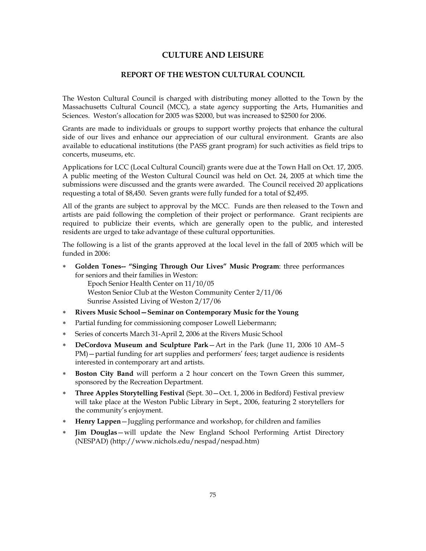# **CULTURE AND LEISURE**

# **REPORT OF THE WESTON CULTURAL COUNCIL**

The Weston Cultural Council is charged with distributing money allotted to the Town by the Massachusetts Cultural Council (MCC), a state agency supporting the Arts, Humanities and Sciences. Weston's allocation for 2005 was \$2000, but was increased to \$2500 for 2006.

Grants are made to individuals or groups to support worthy projects that enhance the cultural side of our lives and enhance our appreciation of our cultural environment. Grants are also available to educational institutions (the PASS grant program) for such activities as field trips to concerts, museums, etc.

Applications for LCC (Local Cultural Council) grants were due at the Town Hall on Oct. 17, 2005. A public meeting of the Weston Cultural Council was held on Oct. 24, 2005 at which time the submissions were discussed and the grants were awarded. The Council received 20 applications requesting a total of \$8,450. Seven grants were fully funded for a total of \$2,495.

All of the grants are subject to approval by the MCC. Funds are then released to the Town and artists are paid following the completion of their project or performance. Grant recipients are required to publicize their events, which are generally open to the public, and interested residents are urged to take advantage of these cultural opportunities.

The following is a list of the grants approved at the local level in the fall of 2005 which will be funded in 2006:

∗ **Golden Tones-- "Singing Through Our Lives" Music Program**: three performances for seniors and their families in Weston:

Epoch Senior Health Center on 11/10/05 Weston Senior Club at the Weston Community Center 2/11/06 Sunrise Assisted Living of Weston 2/17/06

- ∗ **Rivers Music School—Seminar on Contemporary Music for the Young**
- ∗ Partial funding for commissioning composer Lowell Liebermann;
- Series of concerts March 31-April 2, 2006 at the Rivers Music School
- ∗ **DeCordova Museum and Sculpture Park**—Art in the Park (June 11, 2006 10 AM--5 PM)—partial funding for art supplies and performers' fees; target audience is residents interested in contemporary art and artists.
- ∗ **Boston City Band** will perform a 2 hour concert on the Town Green this summer, sponsored by the Recreation Department.
- ∗ **Three Apples Storytelling Festival** (Sept. 30—Oct. 1, 2006 in Bedford) Festival preview will take place at the Weston Public Library in Sept., 2006, featuring 2 storytellers for the community's enjoyment.
- ∗ **Henry Lappen**—Juggling performance and workshop, for children and families
- ∗ **Jim Douglas**—will update the New England School Performing Artist Directory (NESPAD) (http://www.nichols.edu/nespad/nespad.htm)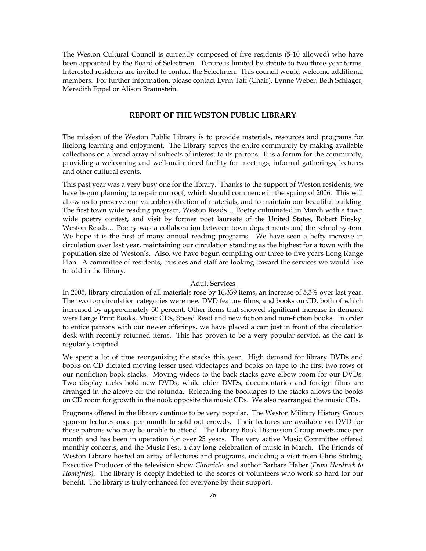The Weston Cultural Council is currently composed of five residents (5-10 allowed) who have been appointed by the Board of Selectmen. Tenure is limited by statute to two three-year terms. Interested residents are invited to contact the Selectmen. This council would welcome additional members. For further information, please contact Lynn Taff (Chair), Lynne Weber, Beth Schlager, Meredith Eppel or Alison Braunstein.

# **REPORT OF THE WESTON PUBLIC LIBRARY**

The mission of the Weston Public Library is to provide materials, resources and programs for lifelong learning and enjoyment. The Library serves the entire community by making available collections on a broad array of subjects of interest to its patrons. It is a forum for the community, providing a welcoming and well-maintained facility for meetings, informal gatherings, lectures and other cultural events.

This past year was a very busy one for the library. Thanks to the support of Weston residents, we have begun planning to repair our roof, which should commence in the spring of 2006. This will allow us to preserve our valuable collection of materials, and to maintain our beautiful building. The first town wide reading program, Weston Reads… Poetry culminated in March with a town wide poetry contest, and visit by former poet laureate of the United States, Robert Pinsky. Weston Reads… Poetry was a collaboration between town departments and the school system. We hope it is the first of many annual reading programs. We have seen a hefty increase in circulation over last year, maintaining our circulation standing as the highest for a town with the population size of Weston's. Also, we have begun compiling our three to five years Long Range Plan. A committee of residents, trustees and staff are looking toward the services we would like to add in the library.

### Adult Services

In 2005, library circulation of all materials rose by 16,339 items, an increase of 5.3% over last year. The two top circulation categories were new DVD feature films, and books on CD, both of which increased by approximately 50 percent. Other items that showed significant increase in demand were Large Print Books, Music CDs, Speed Read and new fiction and non-fiction books. In order to entice patrons with our newer offerings, we have placed a cart just in front of the circulation desk with recently returned items. This has proven to be a very popular service, as the cart is regularly emptied.

We spent a lot of time reorganizing the stacks this year. High demand for library DVDs and books on CD dictated moving lesser used videotapes and books on tape to the first two rows of our nonfiction book stacks. Moving videos to the back stacks gave elbow room for our DVDs. Two display racks hold new DVDs, while older DVDs, documentaries and foreign films are arranged in the alcove off the rotunda. Relocating the booktapes to the stacks allows the books on CD room for growth in the nook opposite the music CDs. We also rearranged the music CDs.

Programs offered in the library continue to be very popular. The Weston Military History Group sponsor lectures once per month to sold out crowds. Their lectures are available on DVD for those patrons who may be unable to attend. The Library Book Discussion Group meets once per month and has been in operation for over 25 years. The very active Music Committee offered monthly concerts, and the Music Fest, a day long celebration of music in March. The Friends of Weston Library hosted an array of lectures and programs, including a visit from Chris Stirling, Executive Producer of the television show *Chronicle,* and author Barbara Haber (*From Hardtack to Homefries).* The library is deeply indebted to the scores of volunteers who work so hard for our benefit. The library is truly enhanced for everyone by their support.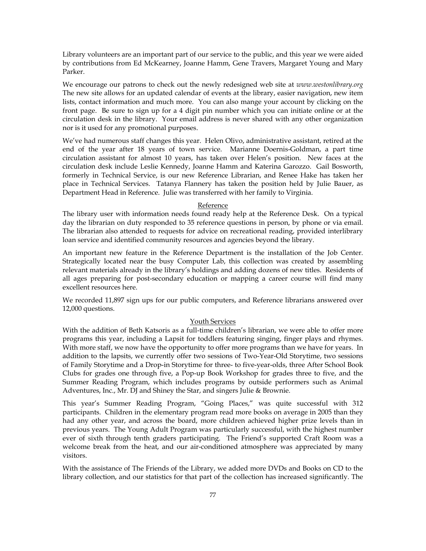Library volunteers are an important part of our service to the public, and this year we were aided by contributions from Ed McKearney, Joanne Hamm, Gene Travers, Margaret Young and Mary Parker.

We encourage our patrons to check out the newly redesigned web site at *www.westonlibrary.org*  The new site allows for an updated calendar of events at the library, easier navigation, new item lists, contact information and much more. You can also mange your account by clicking on the front page. Be sure to sign up for a 4 digit pin number which you can initiate online or at the circulation desk in the library. Your email address is never shared with any other organization nor is it used for any promotional purposes.

We've had numerous staff changes this year. Helen Olivo, administrative assistant, retired at the end of the year after 18 years of town service. Marianne Doernis-Goldman, a part time circulation assistant for almost 10 years, has taken over Helen's position. New faces at the circulation desk include Leslie Kennedy, Joanne Hamm and Katerina Garozzo. Gail Bosworth, formerly in Technical Service, is our new Reference Librarian, and Renee Hake has taken her place in Technical Services. Tatanya Flannery has taken the position held by Julie Bauer, as Department Head in Reference. Julie was transferred with her family to Virginia.

#### Reference

The library user with information needs found ready help at the Reference Desk. On a typical day the librarian on duty responded to 35 reference questions in person, by phone or via email. The librarian also attended to requests for advice on recreational reading, provided interlibrary loan service and identified community resources and agencies beyond the library.

An important new feature in the Reference Department is the installation of the Job Center. Strategically located near the busy Computer Lab, this collection was created by assembling relevant materials already in the library's holdings and adding dozens of new titles. Residents of all ages preparing for post-secondary education or mapping a career course will find many excellent resources here.

We recorded 11,897 sign ups for our public computers, and Reference librarians answered over 12,000 questions.

## Youth Services

With the addition of Beth Katsoris as a full-time children's librarian, we were able to offer more programs this year, including a Lapsit for toddlers featuring singing, finger plays and rhymes. With more staff, we now have the opportunity to offer more programs than we have for years. In addition to the lapsits, we currently offer two sessions of Two-Year-Old Storytime, two sessions of Family Storytime and a Drop-in Storytime for three- to five-year-olds, three After School Book Clubs for grades one through five, a Pop-up Book Workshop for grades three to five, and the Summer Reading Program, which includes programs by outside performers such as Animal Adventures, Inc., Mr. DJ and Shiney the Star, and singers Julie & Brownie.

This year's Summer Reading Program, "Going Places," was quite successful with 312 participants. Children in the elementary program read more books on average in 2005 than they had any other year, and across the board, more children achieved higher prize levels than in previous years. The Young Adult Program was particularly successful, with the highest number ever of sixth through tenth graders participating. The Friend's supported Craft Room was a welcome break from the heat, and our air-conditioned atmosphere was appreciated by many visitors.

With the assistance of The Friends of the Library, we added more DVDs and Books on CD to the library collection, and our statistics for that part of the collection has increased significantly. The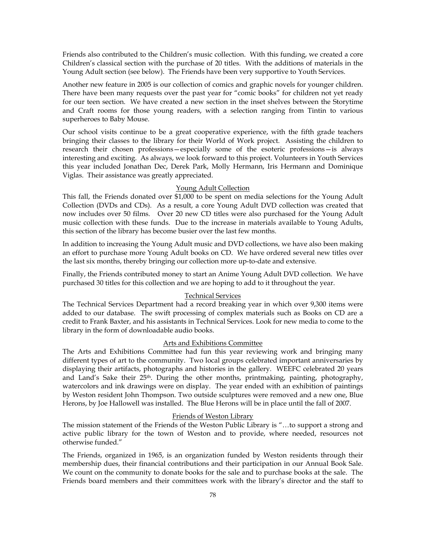Friends also contributed to the Children's music collection. With this funding, we created a core Children's classical section with the purchase of 20 titles. With the additions of materials in the Young Adult section (see below). The Friends have been very supportive to Youth Services.

Another new feature in 2005 is our collection of comics and graphic novels for younger children. There have been many requests over the past year for "comic books" for children not yet ready for our teen section. We have created a new section in the inset shelves between the Storytime and Craft rooms for those young readers, with a selection ranging from Tintin to various superheroes to Baby Mouse.

Our school visits continue to be a great cooperative experience, with the fifth grade teachers bringing their classes to the library for their World of Work project. Assisting the children to research their chosen professions—especially some of the esoteric professions—is always interesting and exciting. As always, we look forward to this project. Volunteers in Youth Services this year included Jonathan Dec, Derek Park, Molly Hermann, Iris Hermann and Dominique Viglas. Their assistance was greatly appreciated.

### Young Adult Collection

This fall, the Friends donated over \$1,000 to be spent on media selections for the Young Adult Collection (DVDs and CDs). As a result, a core Young Adult DVD collection was created that now includes over 50 films. Over 20 new CD titles were also purchased for the Young Adult music collection with these funds. Due to the increase in materials available to Young Adults, this section of the library has become busier over the last few months.

In addition to increasing the Young Adult music and DVD collections, we have also been making an effort to purchase more Young Adult books on CD. We have ordered several new titles over the last six months, thereby bringing our collection more up-to-date and extensive.

Finally, the Friends contributed money to start an Anime Young Adult DVD collection. We have purchased 30 titles for this collection and we are hoping to add to it throughout the year.

#### Technical Services

The Technical Services Department had a record breaking year in which over 9,300 items were added to our database. The swift processing of complex materials such as Books on CD are a credit to Frank Baxter, and his assistants in Technical Services. Look for new media to come to the library in the form of downloadable audio books.

#### Arts and Exhibitions Committee

The Arts and Exhibitions Committee had fun this year reviewing work and bringing many different types of art to the community. Two local groups celebrated important anniversaries by displaying their artifacts, photographs and histories in the gallery. WEEFC celebrated 20 years and Land's Sake their 25<sup>th</sup>. During the other months, printmaking, painting, photography, watercolors and ink drawings were on display. The year ended with an exhibition of paintings by Weston resident John Thompson. Two outside sculptures were removed and a new one, Blue Herons, by Joe Hallowell was installed. The Blue Herons will be in place until the fall of 2007.

#### Friends of Weston Library

The mission statement of the Friends of the Weston Public Library is "…to support a strong and active public library for the town of Weston and to provide, where needed, resources not otherwise funded."

The Friends, organized in 1965, is an organization funded by Weston residents through their membership dues, their financial contributions and their participation in our Annual Book Sale. We count on the community to donate books for the sale and to purchase books at the sale. The Friends board members and their committees work with the library's director and the staff to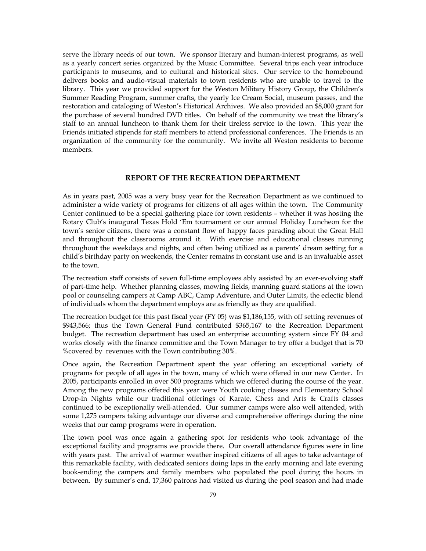serve the library needs of our town. We sponsor literary and human-interest programs, as well as a yearly concert series organized by the Music Committee. Several trips each year introduce participants to museums, and to cultural and historical sites. Our service to the homebound delivers books and audio-visual materials to town residents who are unable to travel to the library. This year we provided support for the Weston Military History Group, the Children's Summer Reading Program, summer crafts, the yearly Ice Cream Social, museum passes, and the restoration and cataloging of Weston's Historical Archives. We also provided an \$8,000 grant for the purchase of several hundred DVD titles. On behalf of the community we treat the library's staff to an annual luncheon to thank them for their tireless service to the town. This year the Friends initiated stipends for staff members to attend professional conferences. The Friends is an organization of the community for the community. We invite all Weston residents to become members.

# **REPORT OF THE RECREATION DEPARTMENT**

As in years past, 2005 was a very busy year for the Recreation Department as we continued to administer a wide variety of programs for citizens of all ages within the town. The Community Center continued to be a special gathering place for town residents – whether it was hosting the Rotary Club's inaugural Texas Hold 'Em tournament or our annual Holiday Luncheon for the town's senior citizens, there was a constant flow of happy faces parading about the Great Hall and throughout the classrooms around it. With exercise and educational classes running throughout the weekdays and nights, and often being utilized as a parents' dream setting for a child's birthday party on weekends, the Center remains in constant use and is an invaluable asset to the town.

The recreation staff consists of seven full-time employees ably assisted by an ever-evolving staff of part-time help. Whether planning classes, mowing fields, manning guard stations at the town pool or counseling campers at Camp ABC, Camp Adventure, and Outer Limits, the eclectic blend of individuals whom the department employs are as friendly as they are qualified.

The recreation budget for this past fiscal year (FY 05) was \$1,186,155, with off setting revenues of \$943,566; thus the Town General Fund contributed \$365,167 to the Recreation Department budget. The recreation department has used an enterprise accounting system since FY 04 and works closely with the finance committee and the Town Manager to try offer a budget that is 70 %covered by revenues with the Town contributing 30%.

Once again, the Recreation Department spent the year offering an exceptional variety of programs for people of all ages in the town, many of which were offered in our new Center. In 2005, participants enrolled in over 500 programs which we offered during the course of the year. Among the new programs offered this year were Youth cooking classes and Elementary School Drop-in Nights while our traditional offerings of Karate, Chess and Arts & Crafts classes continued to be exceptionally well-attended. Our summer camps were also well attended, with some 1,275 campers taking advantage our diverse and comprehensive offerings during the nine weeks that our camp programs were in operation.

The town pool was once again a gathering spot for residents who took advantage of the exceptional facility and programs we provide there. Our overall attendance figures were in line with years past. The arrival of warmer weather inspired citizens of all ages to take advantage of this remarkable facility, with dedicated seniors doing laps in the early morning and late evening book-ending the campers and family members who populated the pool during the hours in between. By summer's end, 17,360 patrons had visited us during the pool season and had made